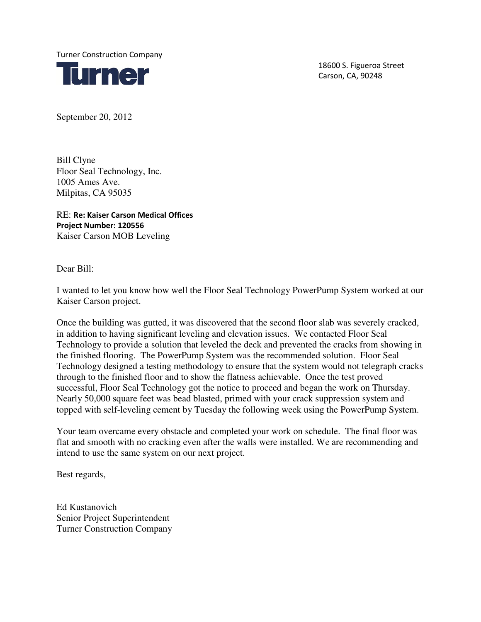

Carson, CA, 90248

September 20, 2012

Bill Clyne Floor Seal Technology, Inc. 1005 Ames Ave. Milpitas, CA 95035

RE: Re: Kaiser Carson Medical Offices Project Number: 120556 Kaiser Carson MOB Leveling

Dear Bill:

I wanted to let you know how well the Floor Seal Technology PowerPump System worked at our Kaiser Carson project.

Once the building was gutted, it was discovered that the second floor slab was severely cracked, in addition to having significant leveling and elevation issues. We contacted Floor Seal Technology to provide a solution that leveled the deck and prevented the cracks from showing in the finished flooring. The PowerPump System was the recommended solution. Floor Seal Technology designed a testing methodology to ensure that the system would not telegraph cracks through to the finished floor and to show the flatness achievable. Once the test proved successful, Floor Seal Technology got the notice to proceed and began the work on Thursday. Nearly 50,000 square feet was bead blasted, primed with your crack suppression system and topped with self-leveling cement by Tuesday the following week using the PowerPump System.

Your team overcame every obstacle and completed your work on schedule. The final floor was flat and smooth with no cracking even after the walls were installed. We are recommending and intend to use the same system on our next project.

Best regards,

Ed Kustanovich Senior Project Superintendent Turner Construction Company